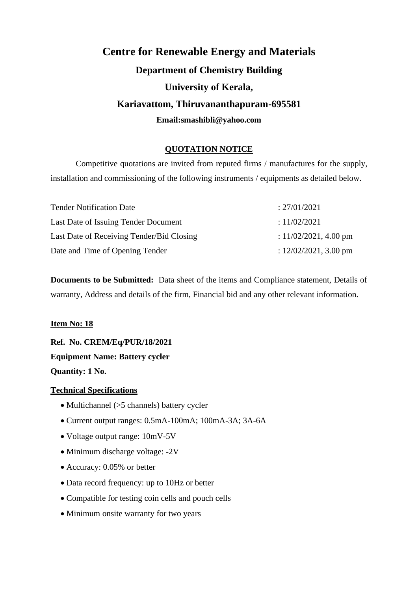# **Centre for Renewable Energy and Materials Department of Chemistry Building University of Kerala, Kariavattom, Thiruvananthapuram-695581 Email:smashibli@yahoo.com**

# **QUOTATION NOTICE**

Competitive quotations are invited from reputed firms / manufactures for the supply, installation and commissioning of the following instruments / equipments as detailed below.

| <b>Tender Notification Date</b>           | : 27/01/2021             |
|-------------------------------------------|--------------------------|
| Last Date of Issuing Tender Document      | : 11/02/2021             |
| Last Date of Receiving Tender/Bid Closing | : $11/02/2021$ , 4.00 pm |
| Date and Time of Opening Tender           | : $12/02/2021$ , 3.00 pm |

**Documents to be Submitted:** Data sheet of the items and Compliance statement, Details of warranty, Address and details of the firm, Financial bid and any other relevant information.

#### **Item No: 18**

**Ref. No. CREM/Eq/PUR/18/2021 Equipment Name: Battery cycler Quantity: 1 No.**

- Multichannel (>5 channels) battery cycler
- Current output ranges: 0.5mA-100mA; 100mA-3A; 3A-6A
- Voltage output range: 10mV-5V
- Minimum discharge voltage: -2V
- Accuracy: 0.05% or better
- Data record frequency: up to 10Hz or better
- Compatible for testing coin cells and pouch cells
- Minimum onsite warranty for two years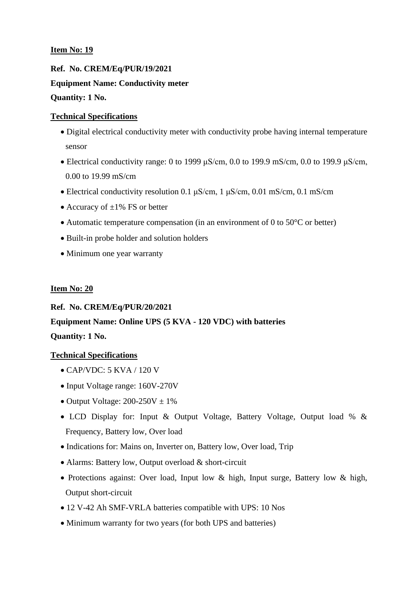**Ref. No. CREM/Eq/PUR/19/2021 Equipment Name: Conductivity meter Quantity: 1 No.**

# **Technical Specifications**

- Digital electrical conductivity meter with conductivity probe having internal temperature sensor
- Electrical conductivity range: 0 to 1999  $\mu$ S/cm, 0.0 to 199.9 mS/cm, 0.0 to 199.9  $\mu$ S/cm, 0.00 to 19.99 mS/cm
- Electrical conductivity resolution 0.1  $\mu$ S/cm, 1  $\mu$ S/cm, 0.01 mS/cm, 0.1 mS/cm
- Accuracy of  $\pm 1\%$  FS or better
- Automatic temperature compensation (in an environment of 0 to 50 °C or better)
- Built-in probe holder and solution holders
- Minimum one year warranty

# **Item No: 20**

### **Ref. No. CREM/Eq/PUR/20/2021**

# **Equipment Name: Online UPS (5 KVA - 120 VDC) with batteries Quantity: 1 No.**

- CAP/VDC: 5 KVA / 120 V
- Input Voltage range: 160V-270V
- Output Voltage:  $200-250V \pm 1\%$
- LCD Display for: Input & Output Voltage, Battery Voltage, Output load % & Frequency, Battery low, Over load
- Indications for: Mains on, Inverter on, Battery low, Over load, Trip
- Alarms: Battery low, Output overload & short-circuit
- Protections against: Over load, Input low & high, Input surge, Battery low & high, Output short-circuit
- 12 V-42 Ah SMF-VRLA batteries compatible with UPS: 10 Nos
- Minimum warranty for two years (for both UPS and batteries)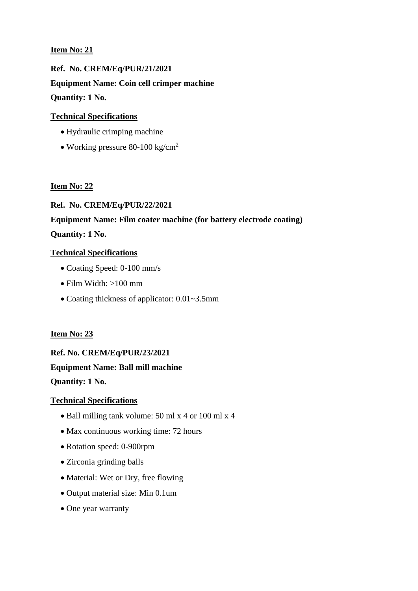**Ref. No. CREM/Eq/PUR/21/2021 Equipment Name: Coin cell crimper machine Quantity: 1 No.**

# **Technical Specifications**

- Hydraulic crimping machine
- Working pressure 80-100 kg/cm<sup>2</sup>

### **Item No: 22**

# **Ref. No. CREM/Eq/PUR/22/2021**

# **Equipment Name: Film coater machine (for battery electrode coating)**

# **Quantity: 1 No.**

### **Technical Specifications**

- Coating Speed: 0-100 mm/s
- Film Width:  $>100$  mm
- Coating thickness of applicator: 0.01~3.5mm

# **Item No: 23**

# **Ref. No. CREM/Eq/PUR/23/2021 Equipment Name: Ball mill machine**

**Quantity: 1 No.**

- Ball milling tank volume: 50 ml x 4 or 100 ml x 4
- Max continuous working time: 72 hours
- Rotation speed: 0-900rpm
- Zirconia grinding balls
- Material: Wet or Dry, free flowing
- Output material size: Min 0.1um
- One year warranty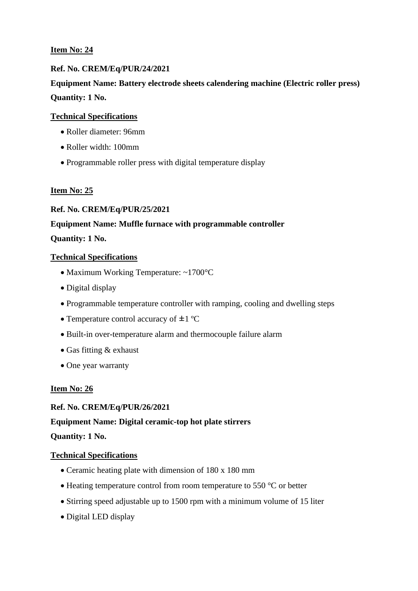# **Ref. No. CREM/Eq/PUR/24/2021**

# **Equipment Name: Battery electrode sheets calendering machine (Electric roller press) Quantity: 1 No.**

#### **Technical Specifications**

- Roller diameter: 96mm
- Roller width: 100mm
- Programmable roller press with digital temperature display

#### **Item No: 25**

#### **Ref. No. CREM/Eq/PUR/25/2021**

#### **Equipment Name: Muffle furnace with programmable controller**

#### **Quantity: 1 No.**

#### **Technical Specifications**

- Maximum Working Temperature: ~1700°C
- Digital display
- Programmable temperature controller with ramping, cooling and dwelling steps
- Temperature control accuracy of  $\pm 1$  °C
- Built-in over-temperature alarm and thermocouple failure alarm
- Gas fitting & exhaust
- One year warranty

#### **Item No: 26**

#### **Ref. No. CREM/Eq/PUR/26/2021**

### **Equipment Name: Digital ceramic-top hot plate stirrers**

#### **Quantity: 1 No.**

- Ceramic heating plate with dimension of 180 x 180 mm
- Heating temperature control from room temperature to 550 °C or better
- Stirring speed adjustable up to 1500 rpm with a minimum volume of 15 liter
- Digital LED display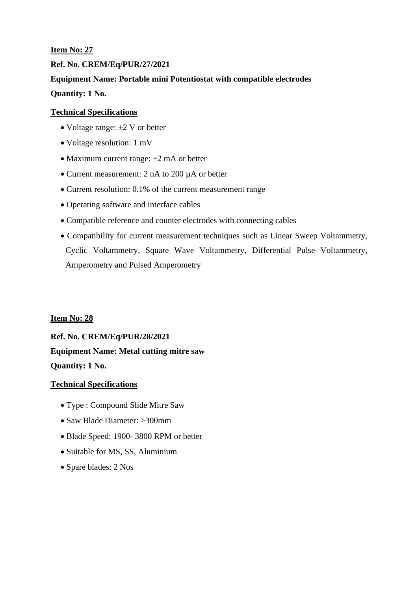# **Ref. No. CREM/Eq/PUR/27/2021**

**Equipment Name: Portable mini Potentiostat with compatible electrodes Quantity: 1 No.**

# **Technical Specifications**

- Voltage range:  $\pm 2$  V or better
- Voltage resolution: 1 mV
- Maximum current range:  $\pm 2$  mA or better
- Current measurement: 2 nA to 200 µA or better
- Current resolution: 0.1% of the current measurement range
- Operating software and interface cables
- Compatible reference and counter electrodes with connecting cables
- Compatibility for current measurement techniques such as Linear Sweep Voltammetry, Cyclic Voltammetry, Square Wave Voltammetry, Differential Pulse Voltammetry, Amperometry and Pulsed Amperometry

### **Item No: 28**

**Ref. No. CREM/Eq/PUR/28/2021 Equipment Name: Metal cutting mitre saw Quantity: 1 No.**

- Type : Compound Slide Mitre Saw
- Saw Blade Diameter: >300mm
- Blade Speed: 1900- 3800 RPM or better
- Suitable for MS, SS, Aluminium
- Spare blades: 2 Nos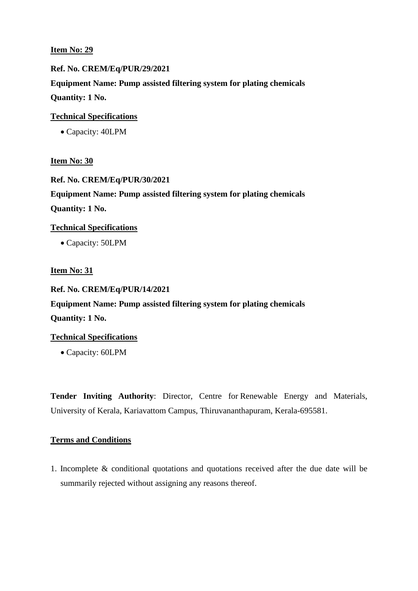**Ref. No. CREM/Eq/PUR/29/2021 Equipment Name: Pump assisted filtering system for plating chemicals Quantity: 1 No.**

**Technical Specifications**

• Capacity: 40LPM

**Item No: 30**

**Ref. No. CREM/Eq/PUR/30/2021 Equipment Name: Pump assisted filtering system for plating chemicals Quantity: 1 No.**

**Technical Specifications**

• Capacity: 50LPM

#### **Item No: 31**

#### **Ref. No. CREM/Eq/PUR/14/2021**

**Equipment Name: Pump assisted filtering system for plating chemicals Quantity: 1 No.**

#### **Technical Specifications**

• Capacity: 60LPM

**Tender Inviting Authority**: Director, Centre for Renewable Energy and Materials, University of Kerala, Kariavattom Campus, Thiruvananthapuram, Kerala-695581.

#### **Terms and Conditions**

1. Incomplete & conditional quotations and quotations received after the due date will be summarily rejected without assigning any reasons thereof.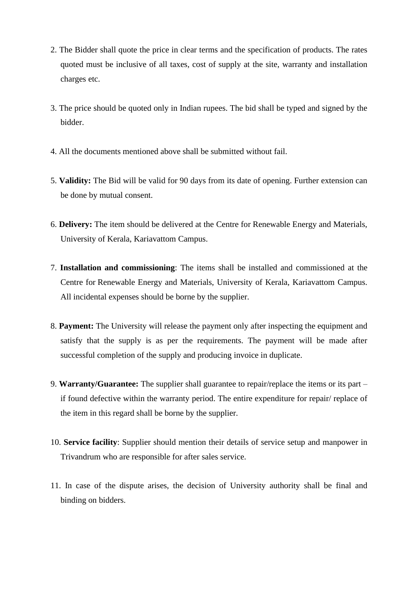- 2. The Bidder shall quote the price in clear terms and the specification of products. The rates quoted must be inclusive of all taxes, cost of supply at the site, warranty and installation charges etc.
- 3. The price should be quoted only in Indian rupees. The bid shall be typed and signed by the bidder.
- 4. All the documents mentioned above shall be submitted without fail.
- 5. **Validity:** The Bid will be valid for 90 days from its date of opening. Further extension can be done by mutual consent.
- 6. **Delivery:** The item should be delivered at the Centre for Renewable Energy and Materials, University of Kerala, Kariavattom Campus.
- 7. **Installation and commissioning**: The items shall be installed and commissioned at the Centre for Renewable Energy and Materials, University of Kerala, Kariavattom Campus. All incidental expenses should be borne by the supplier.
- 8. **Payment:** The University will release the payment only after inspecting the equipment and satisfy that the supply is as per the requirements. The payment will be made after successful completion of the supply and producing invoice in duplicate.
- 9. **Warranty/Guarantee:** The supplier shall guarantee to repair/replace the items or its part if found defective within the warranty period. The entire expenditure for repair/ replace of the item in this regard shall be borne by the supplier.
- 10. **Service facility**: Supplier should mention their details of service setup and manpower in Trivandrum who are responsible for after sales service.
- 11. In case of the dispute arises, the decision of University authority shall be final and binding on bidders.